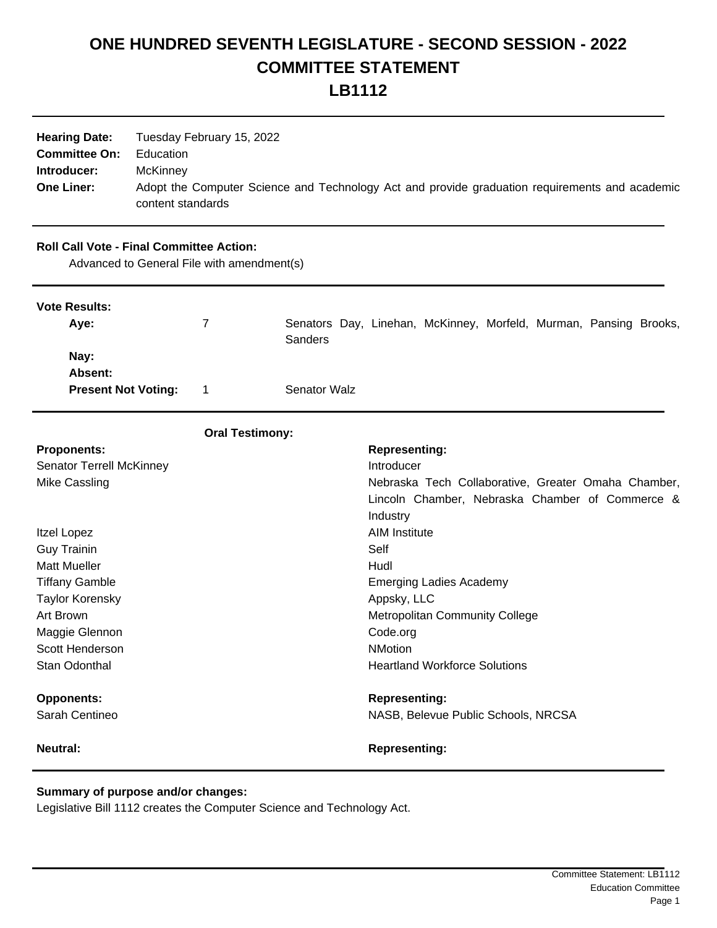## **ONE HUNDRED SEVENTH LEGISLATURE - SECOND SESSION - 2022 COMMITTEE STATEMENT**

**LB1112**

| <b>Hearing Date:</b><br><b>Committee On:</b><br>Introducer:<br><b>One Liner:</b>              | Tuesday February 15, 2022<br>Education<br><b>McKinney</b><br>content standards |                        |              | Adopt the Computer Science and Technology Act and provide graduation requirements and academic                     |
|-----------------------------------------------------------------------------------------------|--------------------------------------------------------------------------------|------------------------|--------------|--------------------------------------------------------------------------------------------------------------------|
| <b>Roll Call Vote - Final Committee Action:</b><br>Advanced to General File with amendment(s) |                                                                                |                        |              |                                                                                                                    |
| <b>Vote Results:</b>                                                                          |                                                                                |                        |              |                                                                                                                    |
| Aye:                                                                                          |                                                                                | 7                      | Sanders      | Senators Day, Linehan, McKinney, Morfeld, Murman, Pansing Brooks,                                                  |
| Nay:<br>Absent:                                                                               |                                                                                |                        |              |                                                                                                                    |
| <b>Present Not Voting:</b>                                                                    |                                                                                | 1                      | Senator Walz |                                                                                                                    |
|                                                                                               |                                                                                | <b>Oral Testimony:</b> |              |                                                                                                                    |
| <b>Proponents:</b>                                                                            |                                                                                |                        |              | <b>Representing:</b>                                                                                               |
| Senator Terrell McKinney                                                                      |                                                                                |                        |              | Introducer                                                                                                         |
| Mike Cassling                                                                                 |                                                                                |                        |              | Nebraska Tech Collaborative, Greater Omaha Chamber,<br>Lincoln Chamber, Nebraska Chamber of Commerce &<br>Industry |
| Itzel Lopez                                                                                   |                                                                                |                        |              | <b>AIM Institute</b>                                                                                               |
| <b>Guy Trainin</b>                                                                            |                                                                                |                        |              | Self                                                                                                               |
| <b>Matt Mueller</b>                                                                           |                                                                                |                        |              | Hudl                                                                                                               |
| <b>Tiffany Gamble</b>                                                                         |                                                                                |                        |              | <b>Emerging Ladies Academy</b>                                                                                     |
| <b>Taylor Korensky</b>                                                                        |                                                                                |                        |              | Appsky, LLC                                                                                                        |
| Art Brown                                                                                     |                                                                                |                        |              | Metropolitan Community College                                                                                     |
| Maggie Glennon                                                                                |                                                                                |                        |              | Code.org                                                                                                           |
| Scott Henderson                                                                               |                                                                                |                        |              | <b>NMotion</b>                                                                                                     |
| Stan Odonthal                                                                                 |                                                                                |                        |              | <b>Heartland Workforce Solutions</b>                                                                               |
| <b>Opponents:</b>                                                                             |                                                                                |                        |              | <b>Representing:</b>                                                                                               |
| Sarah Centineo                                                                                |                                                                                |                        |              | NASB, Belevue Public Schools, NRCSA                                                                                |
| <b>Neutral:</b>                                                                               |                                                                                |                        |              | <b>Representing:</b>                                                                                               |

## **Summary of purpose and/or changes:**

Legislative Bill 1112 creates the Computer Science and Technology Act.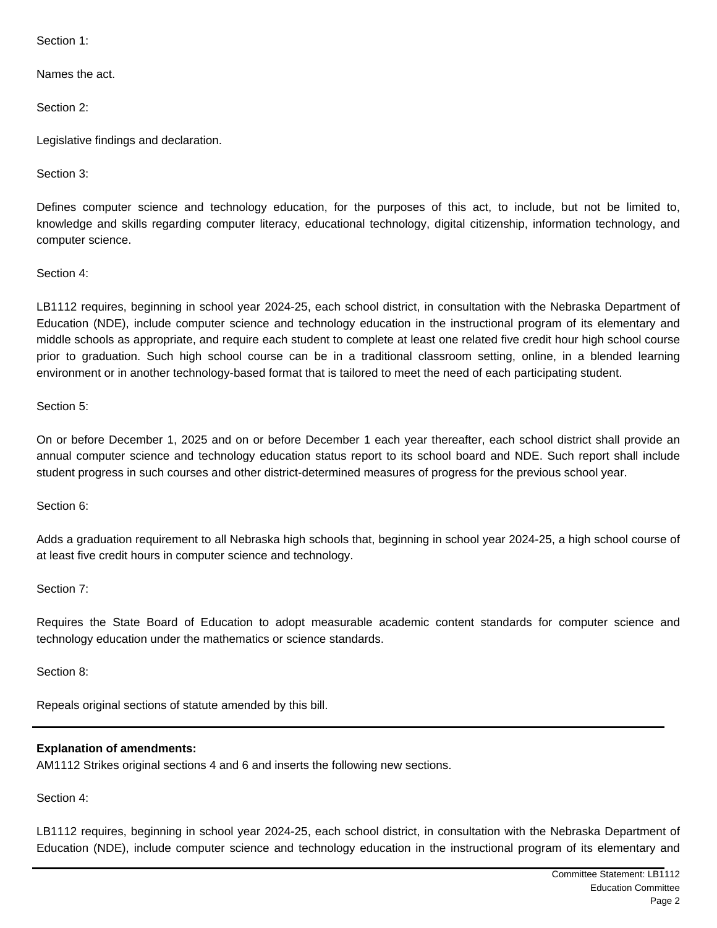Section 1:

Names the act.

Section 2:

Legislative findings and declaration.

Section 3:

Defines computer science and technology education, for the purposes of this act, to include, but not be limited to, knowledge and skills regarding computer literacy, educational technology, digital citizenship, information technology, and computer science.

Section 4:

LB1112 requires, beginning in school year 2024-25, each school district, in consultation with the Nebraska Department of Education (NDE), include computer science and technology education in the instructional program of its elementary and middle schools as appropriate, and require each student to complete at least one related five credit hour high school course prior to graduation. Such high school course can be in a traditional classroom setting, online, in a blended learning environment or in another technology-based format that is tailored to meet the need of each participating student.

Section 5:

On or before December 1, 2025 and on or before December 1 each year thereafter, each school district shall provide an annual computer science and technology education status report to its school board and NDE. Such report shall include student progress in such courses and other district-determined measures of progress for the previous school year.

Section 6:

Adds a graduation requirement to all Nebraska high schools that, beginning in school year 2024-25, a high school course of at least five credit hours in computer science and technology.

Section 7:

Requires the State Board of Education to adopt measurable academic content standards for computer science and technology education under the mathematics or science standards.

Section 8:

Repeals original sections of statute amended by this bill.

## **Explanation of amendments:**

AM1112 Strikes original sections 4 and 6 and inserts the following new sections.

Section 4:

LB1112 requires, beginning in school year 2024-25, each school district, in consultation with the Nebraska Department of Education (NDE), include computer science and technology education in the instructional program of its elementary and